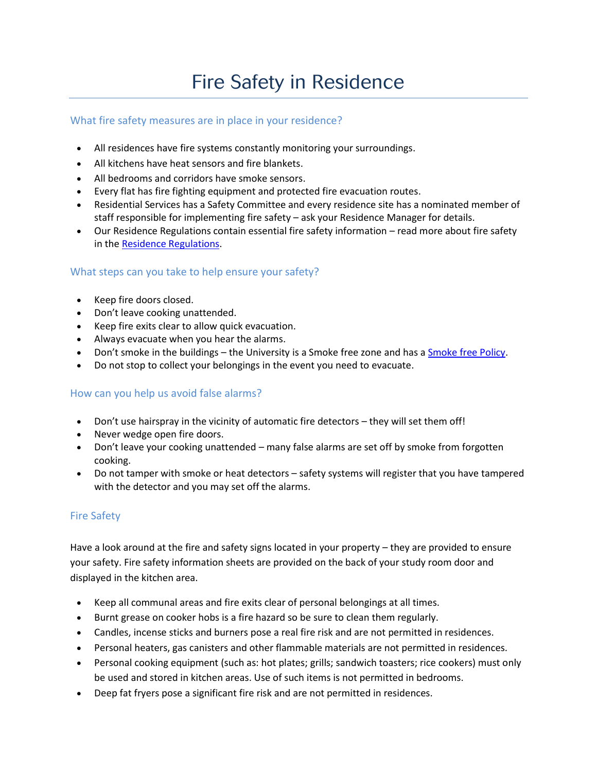# Fire Safety in Residence

## What fire safety measures are in place in your residence?

- All residences have fire systems constantly monitoring your surroundings.
- All kitchens have heat sensors and fire blankets.
- All bedrooms and corridors have smoke sensors.
- Every flat has fire fighting equipment and protected fire evacuation routes.
- Residential Services has a Safety Committee and every residence site has a nominated member of staff responsible for implementing fire safety – ask your Residence Manager for details.
- Our Residence Regulations contain essential fire safety information read more about fire safety in the [Residence Regulations.](http://www.swansea.ac.uk/accommodation/regulationsbrochures/)

## What steps can you take to help ensure your safety?

- Keep fire doors closed.
- Don't leave cooking unattended.
- Keep fire exits clear to allow quick evacuation.
- Always evacuate when you hear the alarms.
- Don't smoke in the buildings the University is a Smoke free zone and has a Smoke [free Policy.](http://www.swansea.ac.uk/academic-services/academic-guide/other-university-regulations/smoke-free-policy/)
- Do not stop to collect your belongings in the event you need to evacuate.

## How can you help us avoid false alarms?

- Don't use hairspray in the vicinity of automatic fire detectors they will set them off!
- Never wedge open fire doors.
- Don't leave your cooking unattended many false alarms are set off by smoke from forgotten cooking.
- Do not tamper with smoke or heat detectors safety systems will register that you have tampered with the detector and you may set off the alarms.

## Fire Safety

Have a look around at the fire and safety signs located in your property – they are provided to ensure your safety. Fire safety information sheets are provided on the back of your study room door and displayed in the kitchen area.

- Keep all communal areas and fire exits clear of personal belongings at all times.
- Burnt grease on cooker hobs is a fire hazard so be sure to clean them regularly.
- Candles, incense sticks and burners pose a real fire risk and are not permitted in residences.
- Personal heaters, gas canisters and other flammable materials are not permitted in residences.
- Personal cooking equipment (such as: hot plates; grills; sandwich toasters; rice cookers) must only be used and stored in kitchen areas. Use of such items is not permitted in bedrooms.
- Deep fat fryers pose a significant fire risk and are not permitted in residences.